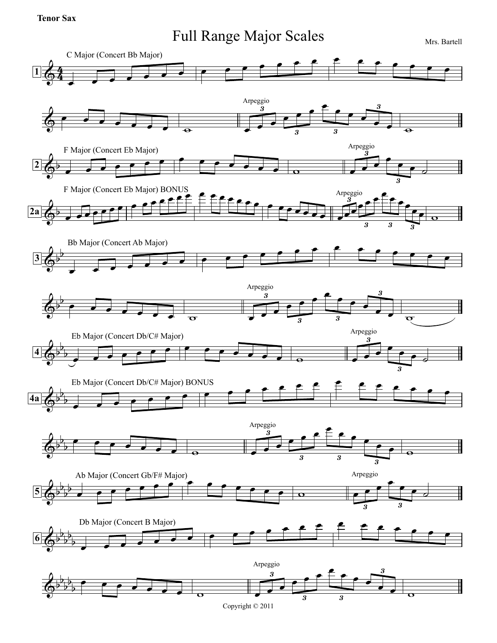## **Tenor Sax**

## Full Range Major Scales Mrs. Bartell

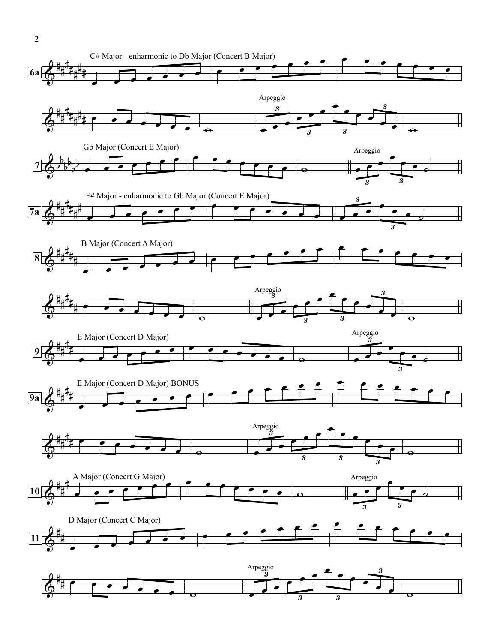